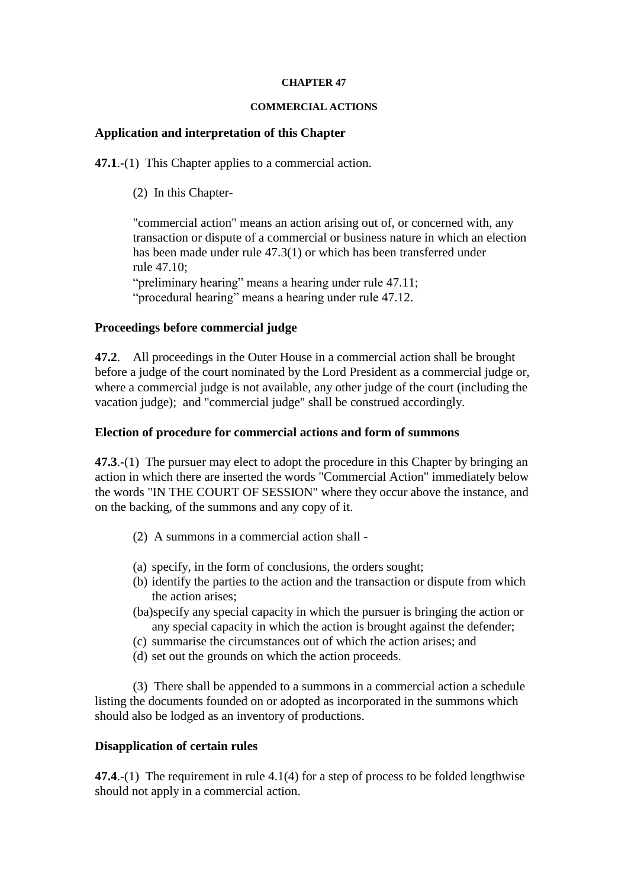#### **CHAPTER 47**

### **COMMERCIAL ACTIONS**

## **Application and interpretation of this Chapter**

**47.1**.-(1) This Chapter applies to a commercial action.

(2) In this Chapter-

"commercial action" means an action arising out of, or concerned with, any transaction or dispute of a commercial or business nature in which an election has been made under rule 47.3(1) or which has been transferred under rule 47.10; "preliminary hearing" means a hearing under rule 47.11;

"procedural hearing" means a hearing under rule 47.12.

# **Proceedings before commercial judge**

**47.2**. All proceedings in the Outer House in a commercial action shall be brought before a judge of the court nominated by the Lord President as a commercial judge or, where a commercial judge is not available, any other judge of the court (including the vacation judge); and "commercial judge" shall be construed accordingly.

## **Election of procedure for commercial actions and form of summons**

**47.3**.-(1) The pursuer may elect to adopt the procedure in this Chapter by bringing an action in which there are inserted the words "Commercial Action" immediately below the words "IN THE COURT OF SESSION" where they occur above the instance, and on the backing, of the summons and any copy of it.

- (2) A summons in a commercial action shall -
- (a) specify, in the form of conclusions, the orders sought;
- (b) identify the parties to the action and the transaction or dispute from which the action arises;
- (ba)specify any special capacity in which the pursuer is bringing the action or any special capacity in which the action is brought against the defender;
- (c) summarise the circumstances out of which the action arises; and
- (d) set out the grounds on which the action proceeds.

(3) There shall be appended to a summons in a commercial action a schedule listing the documents founded on or adopted as incorporated in the summons which should also be lodged as an inventory of productions.

# **Disapplication of certain rules**

**47.4.**-(1) The requirement in rule 4.1(4) for a step of process to be folded lengthwise should not apply in a commercial action.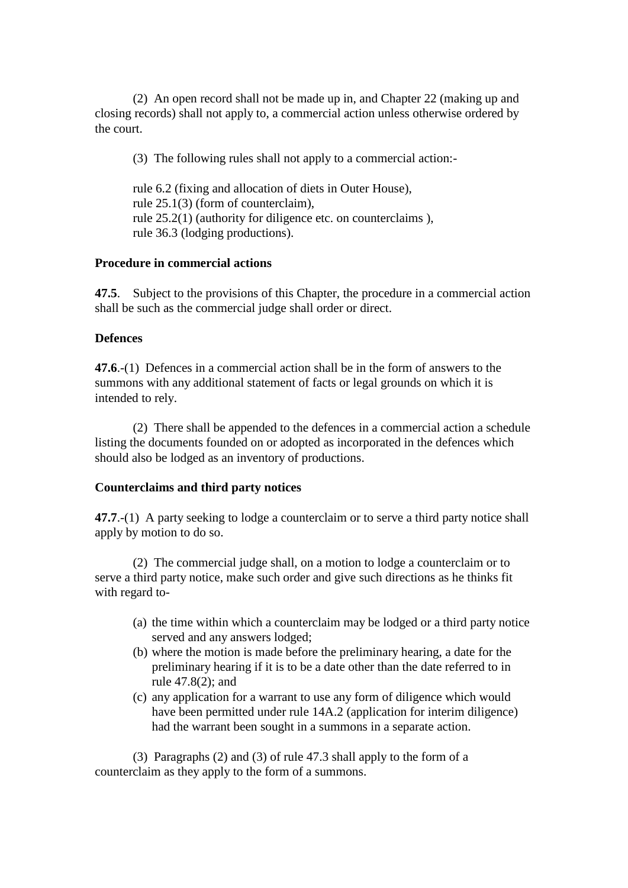(2) An open record shall not be made up in, and Chapter 22 (making up and closing records) shall not apply to, a commercial action unless otherwise ordered by the court.

(3) The following rules shall not apply to a commercial action:-

rule 6.2 (fixing and allocation of diets in Outer House), rule 25.1(3) (form of counterclaim), rule 25.2(1) (authority for diligence etc. on counterclaims ), rule 36.3 (lodging productions).

### **Procedure in commercial actions**

**47.5**. Subject to the provisions of this Chapter, the procedure in a commercial action shall be such as the commercial judge shall order or direct.

### **Defences**

**47.6**.-(1) Defences in a commercial action shall be in the form of answers to the summons with any additional statement of facts or legal grounds on which it is intended to rely.

(2) There shall be appended to the defences in a commercial action a schedule listing the documents founded on or adopted as incorporated in the defences which should also be lodged as an inventory of productions.

#### **Counterclaims and third party notices**

**47.7**.-(1) A party seeking to lodge a counterclaim or to serve a third party notice shall apply by motion to do so.

(2) The commercial judge shall, on a motion to lodge a counterclaim or to serve a third party notice, make such order and give such directions as he thinks fit with regard to-

- (a) the time within which a counterclaim may be lodged or a third party notice served and any answers lodged;
- (b) where the motion is made before the preliminary hearing, a date for the preliminary hearing if it is to be a date other than the date referred to in rule 47.8(2); and
- (c) any application for a warrant to use any form of diligence which would have been permitted under rule 14A.2 (application for interim diligence) had the warrant been sought in a summons in a separate action.

(3) Paragraphs (2) and (3) of rule 47.3 shall apply to the form of a counterclaim as they apply to the form of a summons.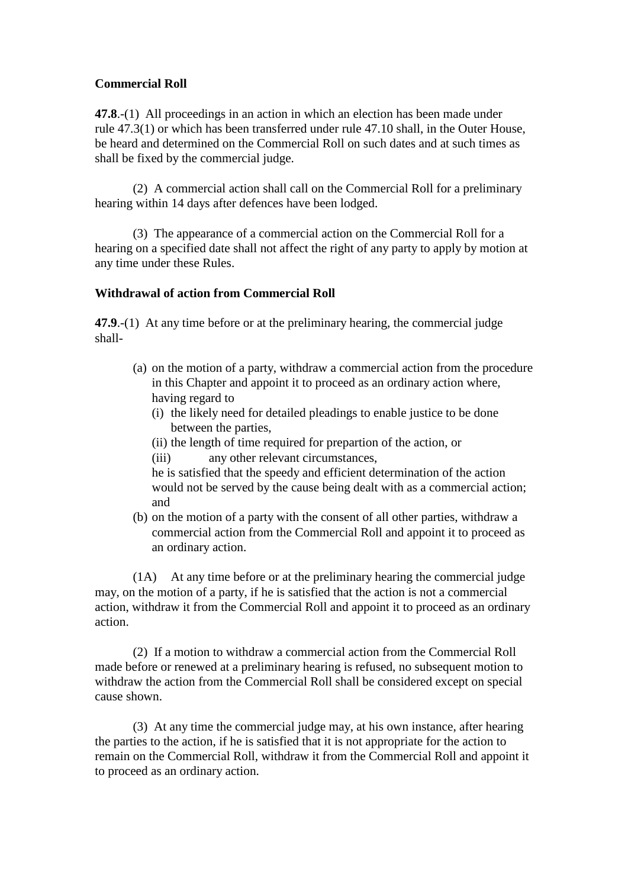### **Commercial Roll**

**47.8**.-(1) All proceedings in an action in which an election has been made under rule 47.3(1) or which has been transferred under rule 47.10 shall, in the Outer House, be heard and determined on the Commercial Roll on such dates and at such times as shall be fixed by the commercial judge.

(2) A commercial action shall call on the Commercial Roll for a preliminary hearing within 14 days after defences have been lodged.

(3) The appearance of a commercial action on the Commercial Roll for a hearing on a specified date shall not affect the right of any party to apply by motion at any time under these Rules.

## **Withdrawal of action from Commercial Roll**

**47.9**.-(1) At any time before or at the preliminary hearing, the commercial judge shall-

- (a) on the motion of a party, withdraw a commercial action from the procedure in this Chapter and appoint it to proceed as an ordinary action where, having regard to
	- (i) the likely need for detailed pleadings to enable justice to be done between the parties,
	- (ii) the length of time required for prepartion of the action, or
	- (iii) any other relevant circumstances,

he is satisfied that the speedy and efficient determination of the action would not be served by the cause being dealt with as a commercial action; and

(b) on the motion of a party with the consent of all other parties, withdraw a commercial action from the Commercial Roll and appoint it to proceed as an ordinary action.

(1A) At any time before or at the preliminary hearing the commercial judge may, on the motion of a party, if he is satisfied that the action is not a commercial action, withdraw it from the Commercial Roll and appoint it to proceed as an ordinary action.

(2) If a motion to withdraw a commercial action from the Commercial Roll made before or renewed at a preliminary hearing is refused, no subsequent motion to withdraw the action from the Commercial Roll shall be considered except on special cause shown.

(3) At any time the commercial judge may, at his own instance, after hearing the parties to the action, if he is satisfied that it is not appropriate for the action to remain on the Commercial Roll, withdraw it from the Commercial Roll and appoint it to proceed as an ordinary action.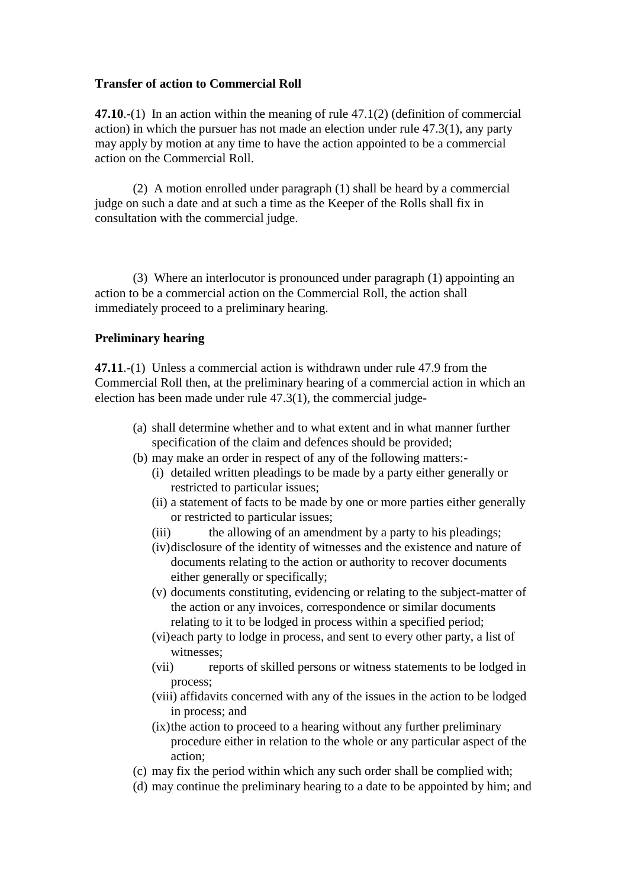### **Transfer of action to Commercial Roll**

**47.10**.-(1) In an action within the meaning of rule 47.1(2) (definition of commercial action) in which the pursuer has not made an election under rule 47.3(1), any party may apply by motion at any time to have the action appointed to be a commercial action on the Commercial Roll.

(2) A motion enrolled under paragraph (1) shall be heard by a commercial judge on such a date and at such a time as the Keeper of the Rolls shall fix in consultation with the commercial judge.

(3) Where an interlocutor is pronounced under paragraph (1) appointing an action to be a commercial action on the Commercial Roll, the action shall immediately proceed to a preliminary hearing.

### **Preliminary hearing**

**47.11**.-(1) Unless a commercial action is withdrawn under rule 47.9 from the Commercial Roll then, at the preliminary hearing of a commercial action in which an election has been made under rule 47.3(1), the commercial judge-

- (a) shall determine whether and to what extent and in what manner further specification of the claim and defences should be provided;
- (b) may make an order in respect of any of the following matters:-
	- (i) detailed written pleadings to be made by a party either generally or restricted to particular issues;
	- (ii) a statement of facts to be made by one or more parties either generally or restricted to particular issues;
	- (iii) the allowing of an amendment by a party to his pleadings;
	- (iv)disclosure of the identity of witnesses and the existence and nature of documents relating to the action or authority to recover documents either generally or specifically;
	- (v) documents constituting, evidencing or relating to the subject-matter of the action or any invoices, correspondence or similar documents relating to it to be lodged in process within a specified period;
	- (vi)each party to lodge in process, and sent to every other party, a list of witnesses;
	- (vii) reports of skilled persons or witness statements to be lodged in process;
	- (viii) affidavits concerned with any of the issues in the action to be lodged in process; and
	- (ix)the action to proceed to a hearing without any further preliminary procedure either in relation to the whole or any particular aspect of the action;
- (c) may fix the period within which any such order shall be complied with;
- (d) may continue the preliminary hearing to a date to be appointed by him; and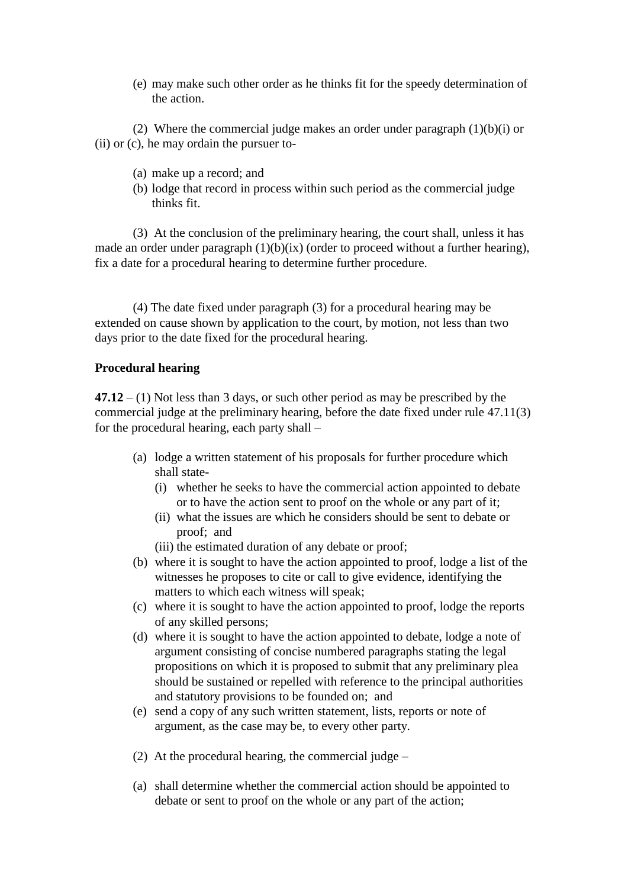(e) may make such other order as he thinks fit for the speedy determination of the action.

(2) Where the commercial judge makes an order under paragraph  $(1)(b)(i)$  or (ii) or (c), he may ordain the pursuer to-

- (a) make up a record; and
- (b) lodge that record in process within such period as the commercial judge thinks fit.

(3) At the conclusion of the preliminary hearing, the court shall, unless it has made an order under paragraph  $(1)(b)(ix)$  (order to proceed without a further hearing), fix a date for a procedural hearing to determine further procedure.

(4) The date fixed under paragraph (3) for a procedural hearing may be extended on cause shown by application to the court, by motion, not less than two days prior to the date fixed for the procedural hearing.

### **Procedural hearing**

**47.12** – (1) Not less than 3 days, or such other period as may be prescribed by the commercial judge at the preliminary hearing, before the date fixed under rule 47.11(3) for the procedural hearing, each party shall –

- (a) lodge a written statement of his proposals for further procedure which shall state-
	- (i) whether he seeks to have the commercial action appointed to debate or to have the action sent to proof on the whole or any part of it;
	- (ii) what the issues are which he considers should be sent to debate or proof; and
	- (iii) the estimated duration of any debate or proof;
- (b) where it is sought to have the action appointed to proof, lodge a list of the witnesses he proposes to cite or call to give evidence, identifying the matters to which each witness will speak;
- (c) where it is sought to have the action appointed to proof, lodge the reports of any skilled persons;
- (d) where it is sought to have the action appointed to debate, lodge a note of argument consisting of concise numbered paragraphs stating the legal propositions on which it is proposed to submit that any preliminary plea should be sustained or repelled with reference to the principal authorities and statutory provisions to be founded on; and
- (e) send a copy of any such written statement, lists, reports or note of argument, as the case may be, to every other party.
- (2) At the procedural hearing, the commercial judge –
- (a) shall determine whether the commercial action should be appointed to debate or sent to proof on the whole or any part of the action;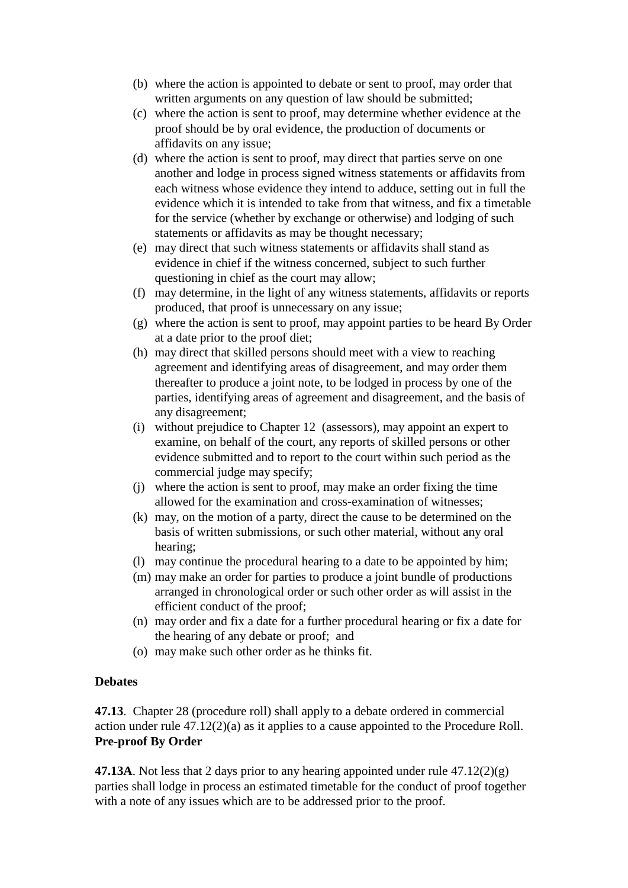- (b) where the action is appointed to debate or sent to proof, may order that written arguments on any question of law should be submitted;
- (c) where the action is sent to proof, may determine whether evidence at the proof should be by oral evidence, the production of documents or affidavits on any issue;
- (d) where the action is sent to proof, may direct that parties serve on one another and lodge in process signed witness statements or affidavits from each witness whose evidence they intend to adduce, setting out in full the evidence which it is intended to take from that witness, and fix a timetable for the service (whether by exchange or otherwise) and lodging of such statements or affidavits as may be thought necessary;
- (e) may direct that such witness statements or affidavits shall stand as evidence in chief if the witness concerned, subject to such further questioning in chief as the court may allow;
- (f) may determine, in the light of any witness statements, affidavits or reports produced, that proof is unnecessary on any issue;
- (g) where the action is sent to proof, may appoint parties to be heard By Order at a date prior to the proof diet;
- (h) may direct that skilled persons should meet with a view to reaching agreement and identifying areas of disagreement, and may order them thereafter to produce a joint note, to be lodged in process by one of the parties, identifying areas of agreement and disagreement, and the basis of any disagreement;
- (i) without prejudice to Chapter 12 (assessors), may appoint an expert to examine, on behalf of the court, any reports of skilled persons or other evidence submitted and to report to the court within such period as the commercial judge may specify;
- (j) where the action is sent to proof, may make an order fixing the time allowed for the examination and cross-examination of witnesses;
- (k) may, on the motion of a party, direct the cause to be determined on the basis of written submissions, or such other material, without any oral hearing;
- (l) may continue the procedural hearing to a date to be appointed by him;
- (m) may make an order for parties to produce a joint bundle of productions arranged in chronological order or such other order as will assist in the efficient conduct of the proof;
- (n) may order and fix a date for a further procedural hearing or fix a date for the hearing of any debate or proof; and
- (o) may make such other order as he thinks fit.

# **Debates**

**47.13**. Chapter 28 (procedure roll) shall apply to a debate ordered in commercial action under rule 47.12(2)(a) as it applies to a cause appointed to the Procedure Roll. **Pre-proof By Order**

**47.13A**. Not less that 2 days prior to any hearing appointed under rule  $47.12(2)(g)$ parties shall lodge in process an estimated timetable for the conduct of proof together with a note of any issues which are to be addressed prior to the proof.